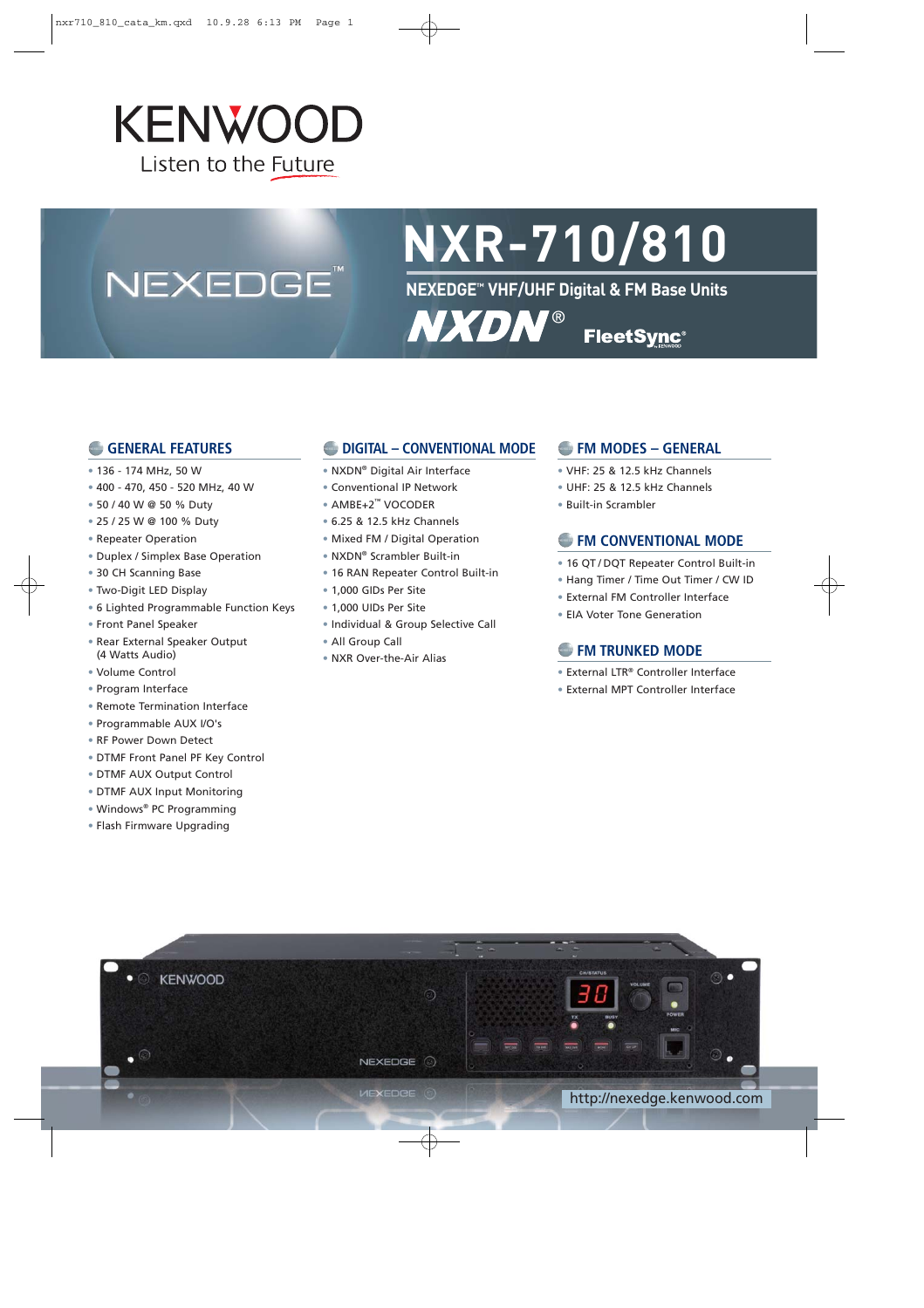## **KENWOOD** Listen to the Future

## NEXEDGE<sup>®</sup>

# **NXR-710/810**

**NEXEDGE™ VHF/UHF Digital & FM Base Units**

**NXDN® FleetSync®** 

#### **GENERAL FEATURES**

- 136 174 MHz, 50 W
- 400 470, 450 520 MHz, 40 W
- 50 / 40 W @ 50 % Duty
- 25 / 25 W @ 100 % Duty
- Repeater Operation
- Duplex / Simplex Base Operation
- 30 CH Scanning Base
- Two-Digit LED Display
- 6 Lighted Programmable Function Keys
- Front Panel Speaker
- Rear External Speaker Output (4 Watts Audio)
- Volume Control
- Program Interface
- Remote Termination Interface
- Programmable AUX I/O's
- RF Power Down Detect
- DTMF Front Panel PF Key Control
- DTMF AUX Output Control
- DTMF AUX Input Monitoring
- Windows® PC Programming
- Flash Firmware Upgrading

#### **DIGITAL – CONVENTIONAL MODE**

- NXDN® Digital Air Interface
- Conventional IP Network
- AMBE+2™ VOCODER
- 6.25 & 12.5 kHz Channels
- Mixed FM / Digital Operation
- NXDN® Scrambler Built-in
- 16 RAN Repeater Control Built-in
- 1,000 GIDs Per Site
- 1,000 UIDs Per Site
- Individual & Group Selective Call
- All Group Call
- NXR Over-the-Air Alias

#### **FM MODES – GENERAL**

- VHF: 25 & 12.5 kHz Channels
- UHF: 25 & 12.5 kHz Channels
- Built-in Scrambler

#### **EM CONVENTIONAL MODE**

- 16 QT / DQT Repeater Control Built-in
- Hang Timer / Time Out Timer / CW ID
- External FM Controller Interface
- EIA Voter Tone Generation

#### **FM TRUNKED MODE**

- External LTR® Controller Interface
- External MPT Controller Interface